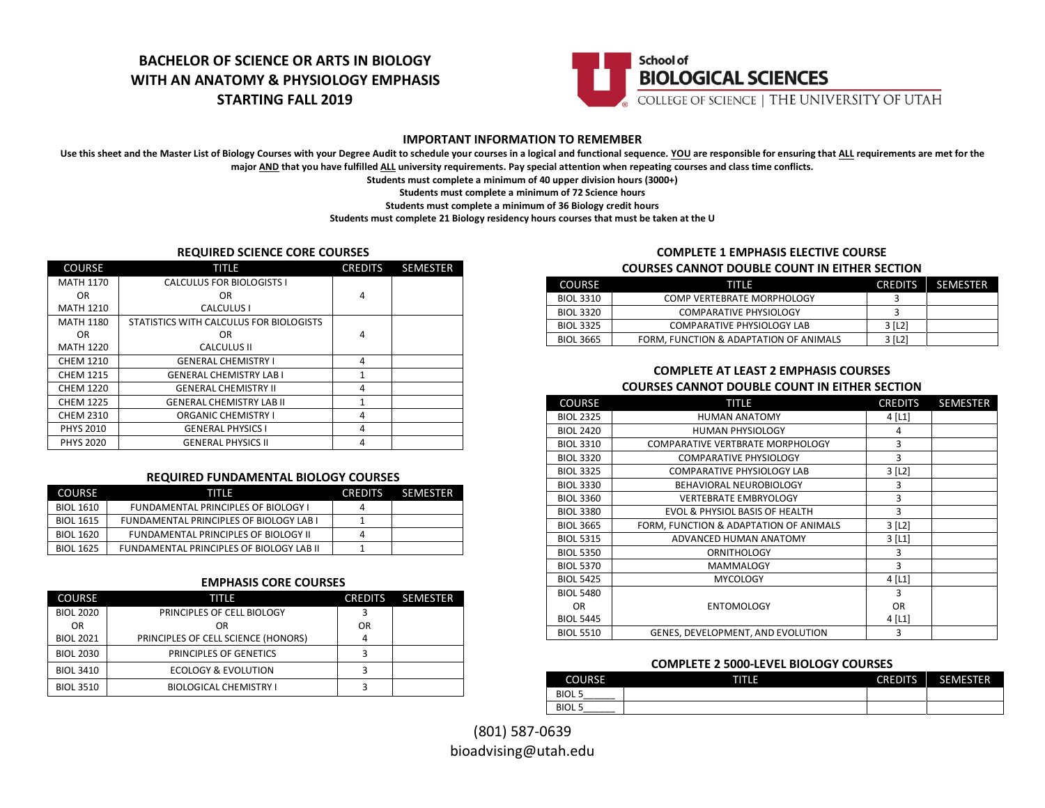# **BACHELOR OF SCIENCE OR ARTS IN BIOLOGY WITH AN ANATOMY & PHYSIOLOGY EMPHASIS STARTING FALL 2019**



### **IMPORTANT INFORMATION TO REMEMBER**

Use this sheet and the Master List of Biology Courses with your Degree Audit to schedule your courses in a logical and functional sequence. YOU are responsible for ensuring that ALL requirements are met for the **major AND that you have fulfilled ALL university requirements. Pay special attention when repeating courses and class time conflicts.**

**Students must complete a minimum of 40 upper division hours (3000+)**

**Students must complete a minimum of 72 Science hours**

**Students must complete a minimum of 36 Biology credit hours**

**Students must complete 21 Biology residency hours courses that must be taken at the U**

#### **REQUIRED SCIENCE CORE COURSES**

| <b>COURSE</b>    | TITLE                                   | <b>CREDITS</b> | <b>SEMESTER</b> |
|------------------|-----------------------------------------|----------------|-----------------|
| <b>MATH 1170</b> | <b>CALCULUS FOR BIOLOGISTS I</b>        |                |                 |
| OR.              | 0R                                      | 4              |                 |
| <b>MATH 1210</b> | CALCULUS I                              |                |                 |
| <b>MATH 1180</b> | STATISTICS WITH CALCULUS FOR BIOLOGISTS |                |                 |
| OR.              | 0R                                      | 4              |                 |
| <b>MATH 1220</b> | <b>CALCULUS II</b>                      |                |                 |
| <b>CHEM 1210</b> | <b>GENERAL CHEMISTRY I</b>              | 4              |                 |
| <b>CHEM 1215</b> | <b>GENERAL CHEMISTRY LAB I</b>          | 1<br>4         |                 |
| <b>CHEM 1220</b> | <b>GENERAL CHEMISTRY II</b>             |                |                 |
| <b>CHEM 1225</b> | <b>GENERAL CHEMISTRY LAB II</b>         | 1              |                 |
| <b>CHEM 2310</b> | <b>ORGANIC CHEMISTRY I</b>              | 4              |                 |
| <b>PHYS 2010</b> | <b>GENERAL PHYSICS I</b>                | 4              |                 |
| <b>PHYS 2020</b> | <b>GENERAL PHYSICS II</b>               | 4              |                 |

#### **REQUIRED FUNDAMENTAL BIOLOGY COURSES**

| <b>COURSE</b>    | TITIE                                          | <b>CREDITS</b> | <b>SEMESTER</b> |
|------------------|------------------------------------------------|----------------|-----------------|
| <b>BIOL 1610</b> | <b>FUNDAMENTAL PRINCIPLES OF BIOLOGY I</b>     |                |                 |
| <b>BIOL 1615</b> | <b>FUNDAMENTAL PRINCIPLES OF BIOLOGY LAB I</b> |                |                 |
| <b>BIOL 1620</b> | FUNDAMENTAL PRINCIPLES OF BIOLOGY II           | 4              |                 |
| <b>BIOL 1625</b> | FUNDAMENTAL PRINCIPLES OF BIOLOGY LAB II       |                |                 |

### **EMPHASIS CORE COURSES**

| <b>COURSE</b>    | TITLE                               | <b>CREDITS</b> | <b>SEMESTER</b> |
|------------------|-------------------------------------|----------------|-----------------|
| <b>BIOL 2020</b> | PRINCIPLES OF CELL BIOLOGY          |                |                 |
| <b>OR</b>        | OR                                  | OR             |                 |
| <b>BIOL 2021</b> | PRINCIPLES OF CELL SCIENCE (HONORS) |                |                 |
| <b>BIOL 2030</b> | PRINCIPLES OF GENETICS              |                |                 |
| <b>BIOL 3410</b> | ECOLOGY & EVOLUTION                 |                |                 |
| <b>BIOL 3510</b> | <b>BIOLOGICAL CHEMISTRY I</b>       |                |                 |

# **COMPLETE 1 EMPHASIS ELECTIVE COURSE**

#### **COURSES CANNOT DOUBLE COUNT IN EITHER SECTION**

| <b>COURSE</b>    | тіті э                                 |        | CREDITS SEMESTER |
|------------------|----------------------------------------|--------|------------------|
| BIOL 3310        | COMP VERTEBRATE MORPHOLOGY             |        |                  |
| <b>BIOL 3320</b> | COMPARATIVE PHYSIOLOGY                 |        |                  |
| <b>BIOL 3325</b> | <b>COMPARATIVE PHYSIOLOGY LAB</b>      | 3 [L2] |                  |
| <b>BIOL 3665</b> | FORM, FUNCTION & ADAPTATION OF ANIMALS | 3 [L2] |                  |

#### **COMPLETE AT LEAST 2 EMPHASIS COURSES COURSES CANNOT DOUBLE COUNT IN EITHER SECTION**

| <b>COURSE</b>    | TITLE                                  | <b>CREDITS</b>        | <b>SEMESTER</b> |
|------------------|----------------------------------------|-----------------------|-----------------|
| <b>BIOL 2325</b> | <b>HUMAN ANATOMY</b>                   | $4$ [L1]              |                 |
| <b>BIOL 2420</b> | <b>HUMAN PHYSIOLOGY</b>                | 4                     |                 |
| <b>BIOL 3310</b> | COMPARATIVE VERTBRATE MORPHOLOGY       | 3                     |                 |
| <b>BIOL 3320</b> | <b>COMPARATIVE PHYSIOLOGY</b>          | 3                     |                 |
| <b>BIOL 3325</b> | <b>COMPARATIVE PHYSIOLOGY LAB</b>      | $3$ [L <sub>2</sub> ] |                 |
| <b>BIOL 3330</b> | <b>BEHAVIORAL NEUROBIOLOGY</b>         | 3                     |                 |
| <b>BIOL 3360</b> | <b>VERTEBRATE EMBRYOLOGY</b>           | 3                     |                 |
| <b>BIOL 3380</b> | EVOL & PHYSIOL BASIS OF HEALTH         | 3                     |                 |
| <b>BIOL 3665</b> | FORM, FUNCTION & ADAPTATION OF ANIMALS | $3$ [L2]              |                 |
| <b>BIOL 5315</b> | ADVANCED HUMAN ANATOMY                 | $3$ [L1]              |                 |
| <b>BIOL 5350</b> | <b>ORNITHOLOGY</b>                     | 3                     |                 |
| <b>BIOL 5370</b> | <b>MAMMALOGY</b>                       | 3                     |                 |
| <b>BIOL 5425</b> | <b>MYCOLOGY</b>                        | $4$ [L1]              |                 |
| <b>BIOL 5480</b> |                                        | 3                     |                 |
| OR.              | <b>ENTOMOLOGY</b>                      | <b>OR</b>             |                 |
| <b>BIOL 5445</b> |                                        | $4$ [L1]              |                 |
| <b>BIOL 5510</b> | GENES, DEVELOPMENT, AND EVOLUTION      | 3                     |                 |

#### **COMPLETE 2 5000-LEVEL BIOLOGY COURSES**

| <b>COURSE</b>              | गाए | <b>CREDITS</b> | SEMESTER |
|----------------------------|-----|----------------|----------|
| <b>BIOL5</b>               |     |                |          |
| <b>BIOL5</b><br>__________ |     |                |          |

(801) 587-0639 bioadvising@utah.edu